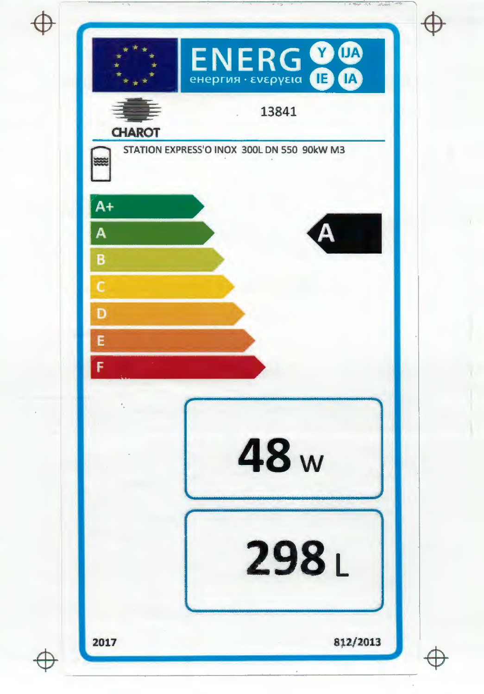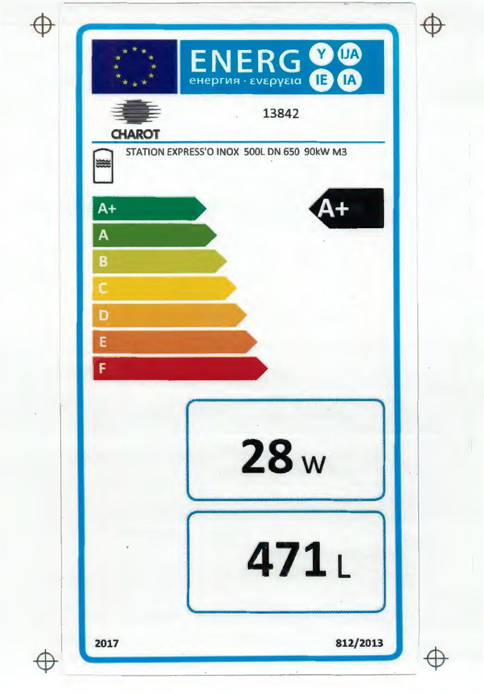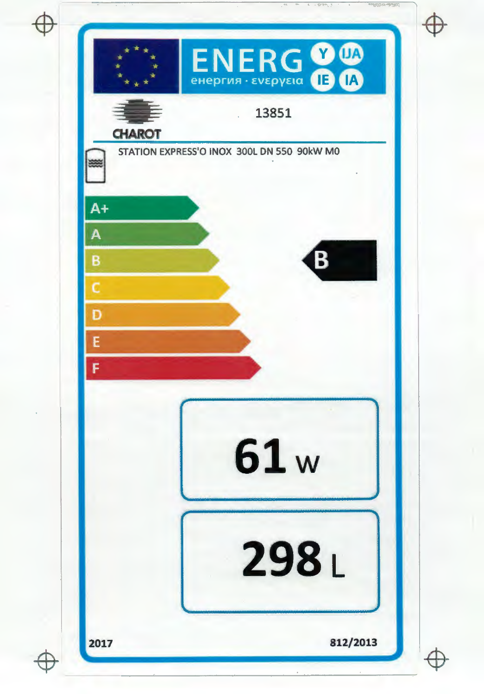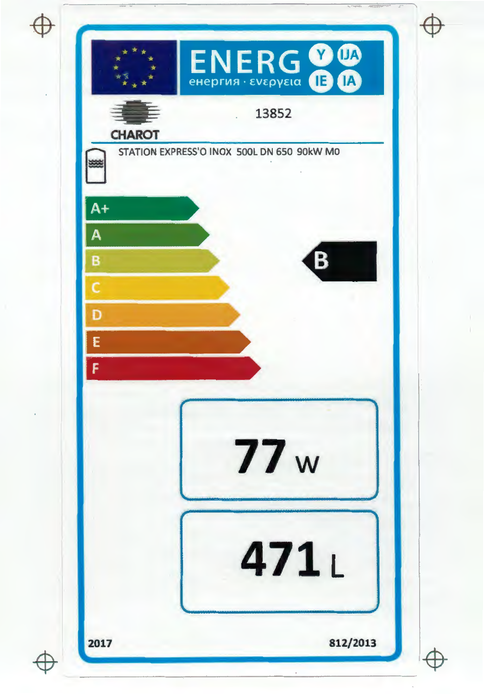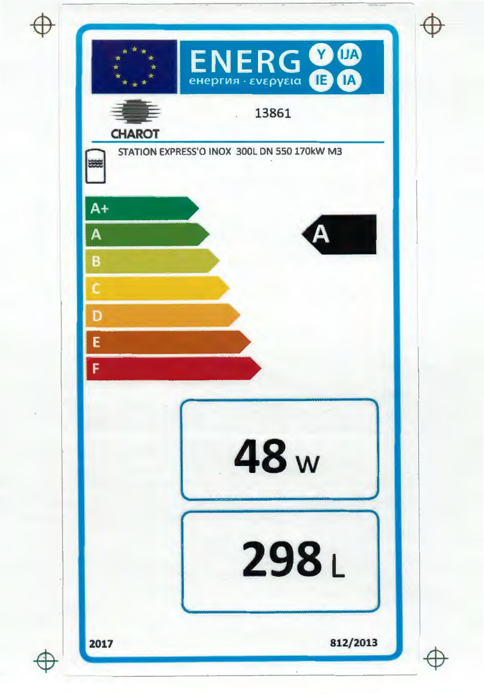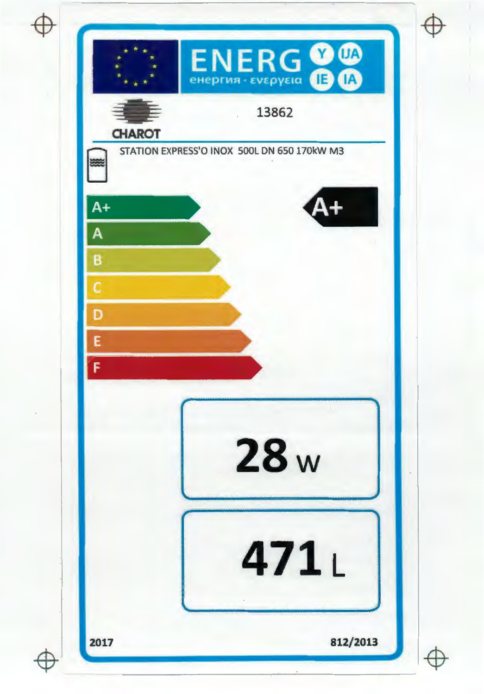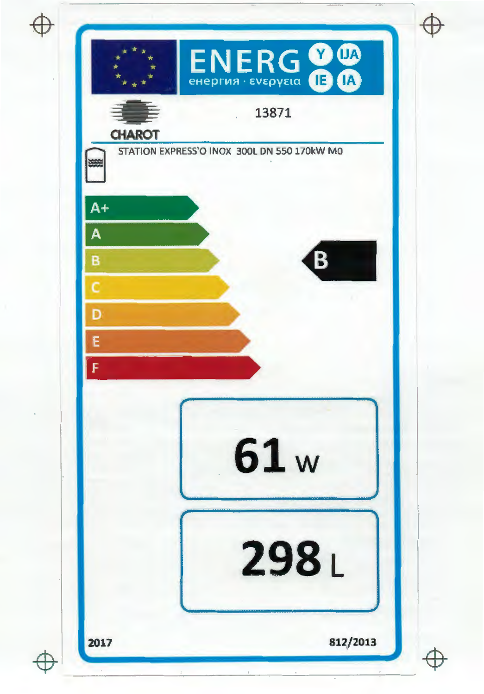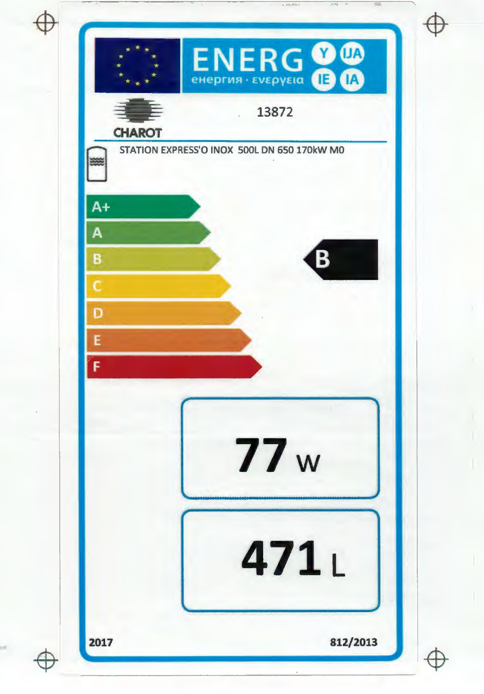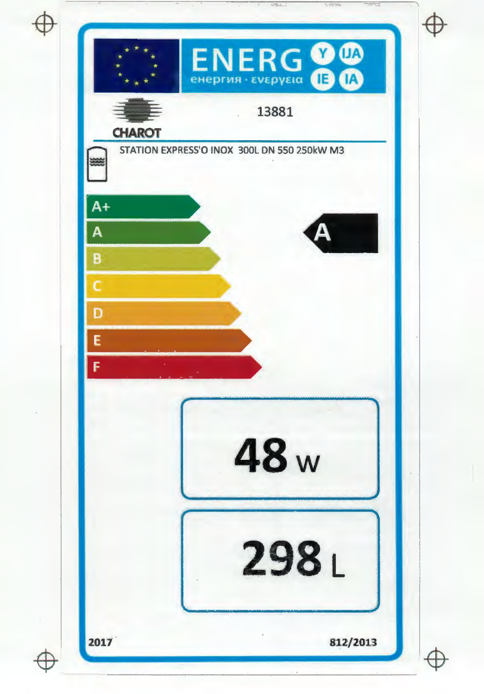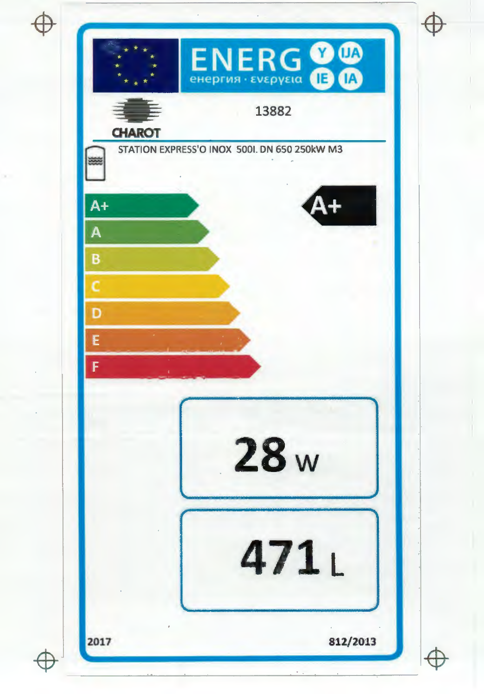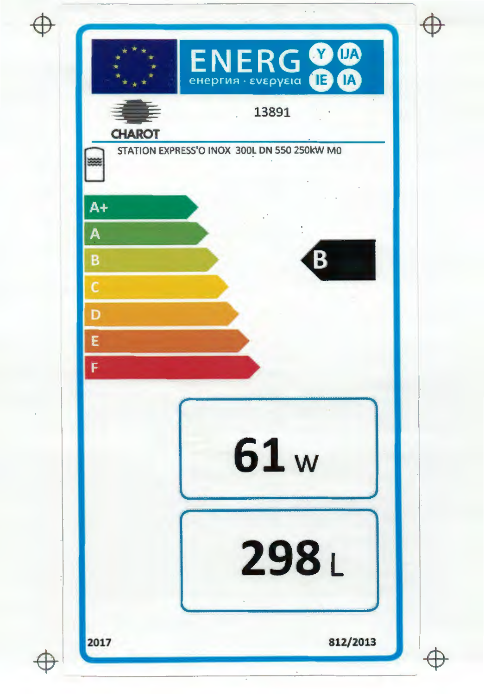